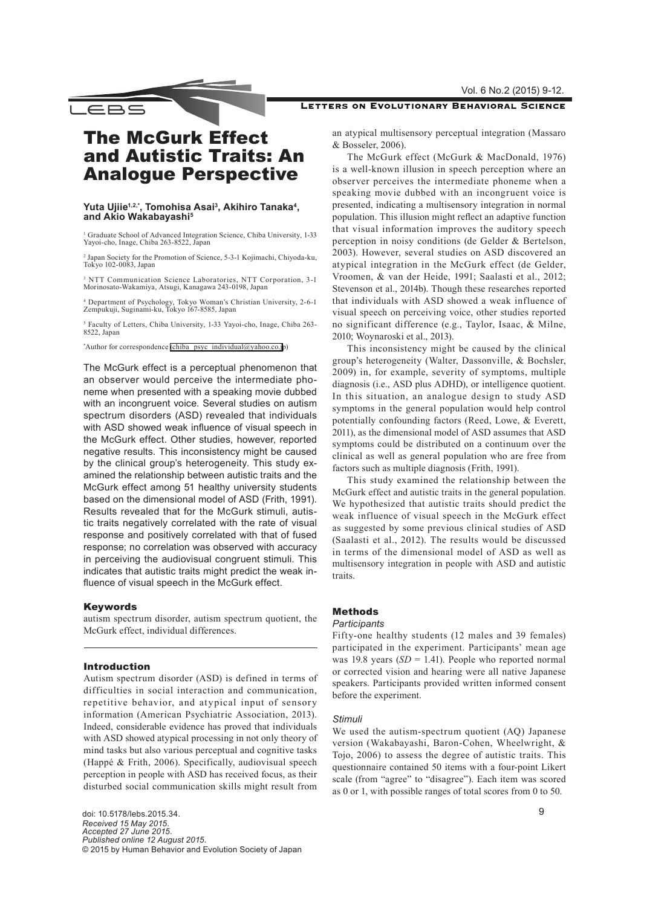# LETTERS ON EVOLUTIONARY BEHAVIORAL SCIENCE

# The McGurk Effect and Autistic Traits: An Analogue Perspective

\_EBS

## Yuta Ujiie<sup>1,2,\*</sup>, Tomohisa Asai<sup>3</sup>, Akihiro Tanaka<sup>4</sup>, **and Akio Wakabayashi5**

<sup>1</sup> Graduate School of Advanced Integration Science, Chiba University, 1-33 Yayoi-cho, Inage, Chiba 263-8522, Japan

2 Japan Society for the Promotion of Science, 5-3-1 Kojimachi, Chiyoda-ku, Tokyo 102-0083, Japan

3 NTT Communication Science Laboratories, NTT Corporation, 3-1 Morinosato-Wakamiya, Atsugi, Kanagawa 243-0198, Japan

4 Department of Psychology, Tokyo Woman's Christian University, 2-6-1 Zempukuji, Suginami-ku, Tokyo 167-8585, Japan

5 Faculty of Letters, Chiba University, 1-33 Yayoi-cho, Inage, Chiba 263- 8522, Japan

\* Author for correspondence [\(chiba\\_psyc\\_individual@yahoo.co.j](mailto:chiba_psyc_individual%40yahoo.co.jp?subject=)p)

The McGurk effect is a perceptual phenomenon that an observer would perceive the intermediate phoneme when presented with a speaking movie dubbed with an incongruent voice. Several studies on autism spectrum disorders (ASD) revealed that individuals with ASD showed weak influence of visual speech in the McGurk effect. Other studies, however, reported negative results. This inconsistency might be caused by the clinical group's heterogeneity. This study examined the relationship between autistic traits and the McGurk effect among 51 healthy university students based on the dimensional model of ASD (Frith, 1991). Results revealed that for the McGurk stimuli, autistic traits negatively correlated with the rate of visual response and positively correlated with that of fused response; no correlation was observed with accuracy in perceiving the audiovisual congruent stimuli. This indicates that autistic traits might predict the weak influence of visual speech in the McGurk effect.

#### Keywords

autism spectrum disorder, autism spectrum quotient, the McGurk effect, individual differences.

## Introduction

Autism spectrum disorder (ASD) is defined in terms of difficulties in social interaction and communication, repetitive behavior, and atypical input of sensory information (American Psychiatric Association, 2013). Indeed, considerable evidence has proved that individuals with ASD showed atypical processing in not only theory of mind tasks but also various perceptual and cognitive tasks (Happé & Frith, 2006). Specifically, audiovisual speech perception in people with ASD has received focus, as their disturbed social communication skills might result from

doi: 10.5178/lebs.2015.34. *Received 15 May 2015. Accepted 27 June 2015. Published online 12 August 2015.* © 2015 by Human Behavior and Evolution Society of Japan an atypical multisensory perceptual integration (Massaro & Bosseler, 2006).

The McGurk effect (McGurk & MacDonald, 1976) is a well-known illusion in speech perception where an observer perceives the intermediate phoneme when a speaking movie dubbed with an incongruent voice is presented, indicating a multisensory integration in normal population. This illusion might reflect an adaptive function that visual information improves the auditory speech perception in noisy conditions (de Gelder & Bertelson, 2003). However, several studies on ASD discovered an atypical integration in the McGurk effect (de Gelder, Vroomen, & van der Heide, 1991; Saalasti et al., 2012; Stevenson et al., 2014b). Though these researches reported that individuals with ASD showed a weak influence of visual speech on perceiving voice, other studies reported no significant difference (e.g., Taylor, Isaac, & Milne, 2010; Woynaroski et al., 2013).

This inconsistency might be caused by the clinical group's heterogeneity (Walter, Dassonville, & Bochsler, 2009) in, for example, severity of symptoms, multiple diagnosis (i.e., ASD plus ADHD), or intelligence quotient. In this situation, an analogue design to study ASD symptoms in the general population would help control potentially confounding factors (Reed, Lowe, & Everett, 2011), as the dimensional model of ASD assumes that ASD symptoms could be distributed on a continuum over the clinical as well as general population who are free from factors such as multiple diagnosis (Frith, 1991).

This study examined the relationship between the McGurk effect and autistic traits in the general population. We hypothesized that autistic traits should predict the weak influence of visual speech in the McGurk effect as suggested by some previous clinical studies of ASD (Saalasti et al., 2012). The results would be discussed in terms of the dimensional model of ASD as well as multisensory integration in people with ASD and autistic traits.

# Methods

# *Participants*

Fifty-one healthy students (12 males and 39 females) participated in the experiment. Participants' mean age was 19.8 years  $(SD = 1.41)$ . People who reported normal or corrected vision and hearing were all native Japanese speakers. Participants provided written informed consent before the experiment.

#### *Stimuli*

We used the autism-spectrum quotient (AQ) Japanese version (Wakabayashi, Baron-Cohen, Wheelwright, & Tojo, 2006) to assess the degree of autistic traits. This questionnaire contained 50 items with a four-point Likert scale (from "agree" to "disagree"). Each item was scored as 0 or 1, with possible ranges of total scores from 0 to 50.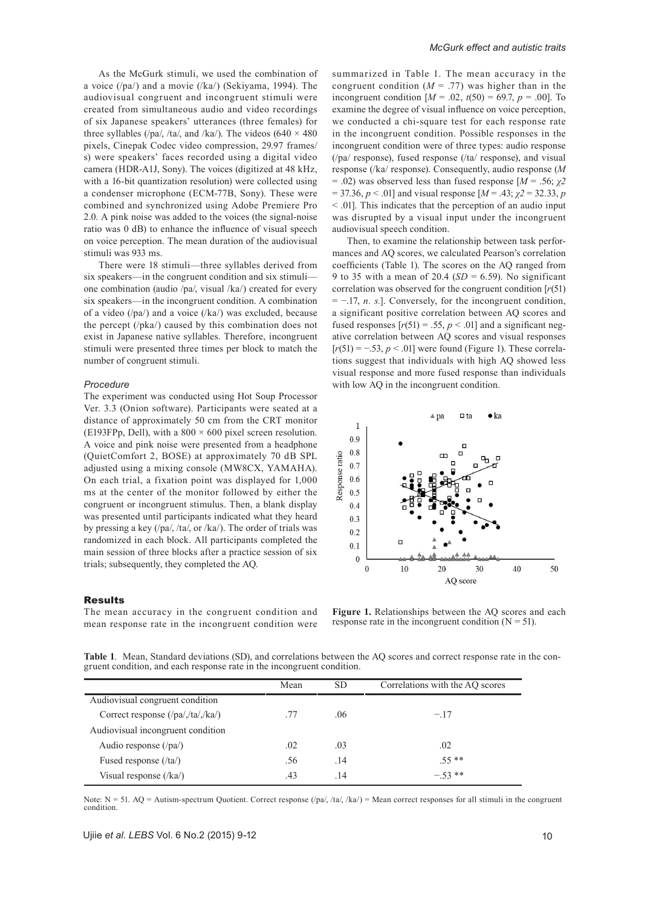As the McGurk stimuli, we used the combination of a voice (/pa/) and a movie (/ka/) (Sekiyama, 1994). The audiovisual congruent and incongruent stimuli were created from simultaneous audio and video recordings of six Japanese speakers' utterances (three females) for three syllables (/pa/, /ta/, and /ka/). The videos (640  $\times$  480 pixels, Cinepak Codec video compression, 29.97 frames/ s) were speakers' faces recorded using a digital video camera (HDR-A1J, Sony). The voices (digitized at 48 kHz, with a 16-bit quantization resolution) were collected using a condenser microphone (ECM-77B, Sony). These were combined and synchronized using Adobe Premiere Pro 2.0. A pink noise was added to the voices (the signal-noise ratio was 0 dB) to enhance the influence of visual speech on voice perception. The mean duration of the audiovisual stimuli was 933 ms.

There were 18 stimuli—three syllables derived from six speakers—in the congruent condition and six stimuli one combination (audio /pa/, visual /ka/) created for every six speakers—in the incongruent condition. A combination of a video (/pa/) and a voice (/ka/) was excluded, because the percept (/pka/) caused by this combination does not exist in Japanese native syllables. Therefore, incongruent stimuli were presented three times per block to match the number of congruent stimuli.

#### *Procedure*

The experiment was conducted using Hot Soup Processor Ver. 3.3 (Onion software). Participants were seated at a distance of approximately 50 cm from the CRT monitor (E193FPp, Dell), with a  $800 \times 600$  pixel screen resolution. A voice and pink noise were presented from a headphone (QuietComfort 2, BOSE) at approximately 70 dB SPL adjusted using a mixing console (MW8CX, YAMAHA). On each trial, a fixation point was displayed for 1,000 ms at the center of the monitor followed by either the congruent or incongruent stimulus. Then, a blank display was presented until participants indicated what they heard by pressing a key (/pa/, /ta/, or /ka/). The order of trials was randomized in each block. All participants completed the main session of three blocks after a practice session of six trials; subsequently, they completed the AQ.

#### **Results**

The mean accuracy in the congruent condition and mean response rate in the incongruent condition were summarized in Table 1. The mean accuracy in the congruent condition  $(M = .77)$  was higher than in the incongruent condition  $[M = .02, t(50) = 69.7, p = .00]$ . To examine the degree of visual influence on voice perception, we conducted a chi-square test for each response rate in the incongruent condition. Possible responses in the incongruent condition were of three types: audio response (/pa/ response), fused response (/ta/ response), and visual response (/ka/ response). Consequently, audio response (*M*  $= .02$ ) was observed less than fused response  $[M = .56; \gamma 2]$  $= 37.36, p < .01$ ] and visual response  $[M = .43; \chi^2 = 32.33, p$ < .01]. This indicates that the perception of an audio input was disrupted by a visual input under the incongruent audiovisual speech condition.

Then, to examine the relationship between task performances and AQ scores, we calculated Pearson's correlation coefficients (Table 1). The scores on the AQ ranged from 9 to 35 with a mean of 20.4 (*SD* = 6.59). No significant correlation was observed for the congruent condition [*r*(51) = −.17, *n. s.*]. Conversely, for the incongruent condition, a significant positive correlation between AQ scores and fused responses  $[r(51) = .55, p < .01]$  and a significant negative correlation between AQ scores and visual responses [ $r(51) = -0.53$ ,  $p < 0.01$ ] were found (Figure 1). These correlations suggest that individuals with high AQ showed less visual response and more fused response than individuals with low AQ in the incongruent condition.



**Figure 1.** Relationships between the AQ scores and each response rate in the incongruent condition  $(N = 51)$ .

Table 1. Mean, Standard deviations (SD), and correlations between the AQ scores and correct response rate in the congruent condition, and each response rate in the incongruent condition.

|                                               | Mean | SD. | Correlations with the AQ scores |
|-----------------------------------------------|------|-----|---------------------------------|
| Audiovisual congruent condition               |      |     |                                 |
| Correct response $(\frac{p}{a}, \frac{t}{a})$ |      | .06 | $-.17$                          |
| Audiovisual incongruent condition             |      |     |                                 |
| Audio response $(\gamma a)$                   | .02  | .03 | .02                             |
| Fused response (/ta/)                         | .56  | .14 | $.55**$                         |
| Visual response $(\frac{1}{ka})$              | .43  | .14 | $-53**$                         |

Note: N = 51. AQ = Autism-spectrum Quotient. Correct response (/pa/, /ta/, /ka/) = Mean correct responses for all stimuli in the congruent condition.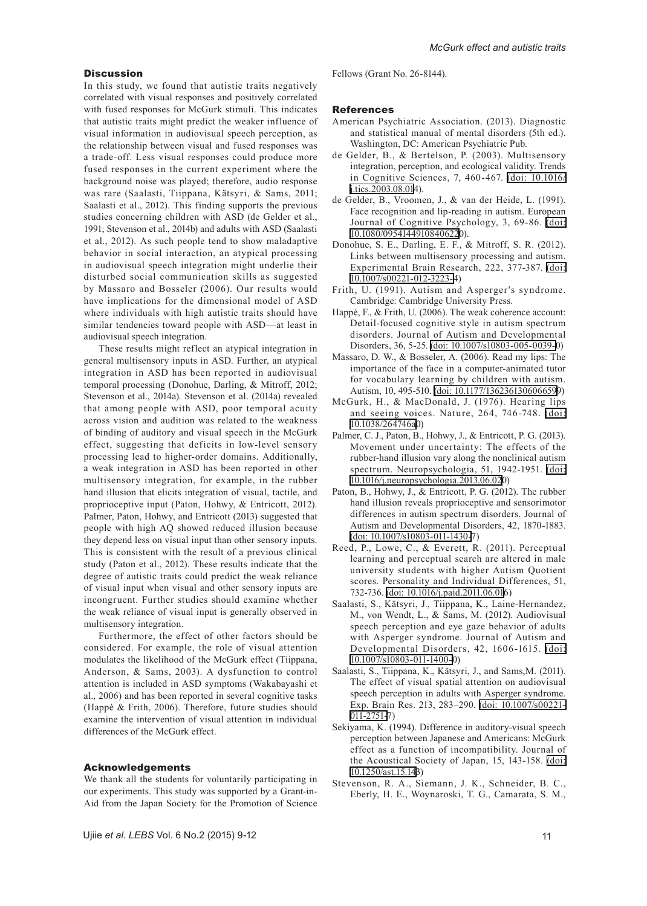#### **Discussion**

In this study, we found that autistic traits negatively correlated with visual responses and positively correlated with fused responses for McGurk stimuli. This indicates that autistic traits might predict the weaker influence of visual information in audiovisual speech perception, as the relationship between visual and fused responses was a trade-off. Less visual responses could produce more fused responses in the current experiment where the background noise was played; therefore, audio response was rare (Saalasti, Tiippana, Kätsyri, & Sams, 2011; Saalasti et al., 2012). This finding supports the previous studies concerning children with ASD (de Gelder et al., 1991; Stevenson et al., 2014b) and adults with ASD (Saalasti et al., 2012). As such people tend to show maladaptive behavior in social interaction, an atypical processing in audiovisual speech integration might underlie their disturbed social communication skills as suggested by Massaro and Bosseler (2006). Our results would have implications for the dimensional model of ASD where individuals with high autistic traits should have similar tendencies toward people with ASD—at least in audiovisual speech integration.

These results might reflect an atypical integration in general multisensory inputs in ASD. Further, an atypical integration in ASD has been reported in audiovisual temporal processing (Donohue, Darling, & Mitroff, 2012; Stevenson et al., 2014a). Stevenson et al. (2014a) revealed that among people with ASD, poor temporal acuity across vision and audition was related to the weakness of binding of auditory and visual speech in the McGurk effect, suggesting that deficits in low-level sensory processing lead to higher-order domains. Additionally, a weak integration in ASD has been reported in other multisensory integration, for example, in the rubber hand illusion that elicits integration of visual, tactile, and proprioceptive input (Paton, Hohwy, & Entricott, 2012). Palmer, Paton, Hohwy, and Entricott (2013) suggested that people with high AQ showed reduced illusion because they depend less on visual input than other sensory inputs. This is consistent with the result of a previous clinical study (Paton et al., 2012). These results indicate that the degree of autistic traits could predict the weak reliance of visual input when visual and other sensory inputs are incongruent. Further studies should examine whether the weak reliance of visual input is generally observed in multisensory integration.

Furthermore, the effect of other factors should be considered. For example, the role of visual attention modulates the likelihood of the McGurk effect (Tiippana, Anderson, & Sams, 2003). A dysfunction to control attention is included in ASD symptoms (Wakabayashi et al., 2006) and has been reported in several cognitive tasks (Happé & Frith, 2006). Therefore, future studies should examine the intervention of visual attention in individual differences of the McGurk effect.

## Acknowledgements

We thank all the students for voluntarily participating in our experiments. This study was supported by a Grant-in-Aid from the Japan Society for the Promotion of Science Fellows (Grant No. 26-8144).

## References

- American Psychiatric Association. (2013). Diagnostic and statistical manual of mental disorders (5th ed.). Washington, DC: American Psychiatric Pub.
- de Gelder, B., & Bertelson, P. (2003). Multisensory integration, perception, and ecological validity. Trends in Cognitive Sciences, 7, 460-467. [\(doi: 10.1016/](http://dx.doi.org/10.1016/j.tics.2003.08.014) [j.tics.2003.08.014](http://dx.doi.org/10.1016/j.tics.2003.08.014)).
- de Gelder, B., Vroomen, J., & van der Heide, L. (1991). Face recognition and lip-reading in autism. European Journal of Cognitive Psychology, 3, 69-86. [\(doi:](http://dx.doi.org/10.1080/09541449108406220)  [10.1080/09541449108406220](http://dx.doi.org/10.1080/09541449108406220)).
- Donohue, S. E., Darling, E. F., & Mitroff, S. R. (2012). Links between multisensory processing and autism. Experimental Brain Research, 222, 377-387. [\(doi:](http://dx.doi.org/10.1007/s00221-012-3223-4)  [10.1007/s00221-012-3223-](http://dx.doi.org/10.1007/s00221-012-3223-4)4)
- Frith, U. (1991). Autism and Asperger's syndrome. Cambridge: Cambridge University Press.
- Happé, F., & Frith, U. (2006). The weak coherence account: Detail-focused cognitive style in autism spectrum disorders. Journal of Autism and Developmental Disorders, 36, 5-25. [\(doi: 10.1007/s10803-005-0039-](http://dx.doi.org/10.1007/s10803-005-0039-0)0)
- Massaro, D. W., & Bosseler, A. (2006). Read my lips: The importance of the face in a computer-animated tutor for vocabulary learning by children with autism. Autism, 10, 495-510. [\(doi: 10.1177/136236130606659](http://dx.doi.org/10.1177/1362361306066599)9)
- McGurk, H., & MacDonald, J. (1976). Hearing lips and seeing voices. Nature, 264, 746-748. [\(doi:](http://dx.doi.org/10.1038/264746a0)  [10.1038/264746a0](http://dx.doi.org/10.1038/264746a0))
- Palmer, C. J., Paton, B., Hohwy, J., & Entricott, P. G. (2013). Movement under uncertainty: The effects of the rubber-hand illusion vary along the nonclinical autism spectrum. Neuropsychologia, 51, 1942-1951. [\(doi:](http://dx.doi.org/10.1016/j.neuropsychologia.2013.06.020)  [10.1016/j.neuropsychologia.2013.06.02](http://dx.doi.org/10.1016/j.neuropsychologia.2013.06.020)0)
- Paton, B., Hohwy, J., & Entricott, P. G. (2012). The rubber hand illusion reveals proprioceptive and sensorimotor differences in autism spectrum disorders. Journal of Autism and Developmental Disorders, 42, 1870-1883. [\(doi: 10.1007/s10803-011-1430-](http://dx.doi.org/10.1007/s10803-011-1430-7)7)
- Reed, P., Lowe, C., & Everett, R. (2011). Perceptual learning and perceptual search are altered in male university students with higher Autism Quotient scores. Personality and Individual Differences, 51, 732-736. [\(doi: 10.1016/j.paid.2011.06.016](http://dx.doi.org/10.1016/j.paid.2011.06.016))
- Saalasti, S., Kätsyri, J., Tiippana, K., Laine-Hernandez, M., von Wendt, L., & Sams, M. (2012). Audiovisual speech perception and eye gaze behavior of adults with Asperger syndrome. Journal of Autism and Developmental Disorders, 42, 1606-1615. [\(doi:](http://dx.doi.org/10.1007/s10803-011-1400-0)  [10.1007/s10803-011-1400-](http://dx.doi.org/10.1007/s10803-011-1400-0)0)
- Saalasti, S., Tiippana, K., Kätsyri, J., and Sams,M. (2011). The effect of visual spatial attention on audiovisual speech perception in adults with Asperger syndrome. Exp. Brain Res. 213, 283–290. [\(doi: 10.1007/s00221-](http://dx.doi.org/10.1007/s00221-011-2751-7) [011-2751-](http://dx.doi.org/10.1007/s00221-011-2751-7)7)
- Sekiyama, K. (1994). Difference in auditory-visual speech perception between Japanese and Americans: McGurk effect as a function of incompatibility. Journal of the Acoustical Society of Japan, 15, 143-158. [\(doi:](http://dx.doi.org/10.1250/ast.15.143)  [10.1250/ast.15.143](http://dx.doi.org/10.1250/ast.15.143))
- Stevenson, R. A., Siemann, J. K., Schneider, B. C., Eberly, H. E., Woynaroski, T. G., Camarata, S. M.,